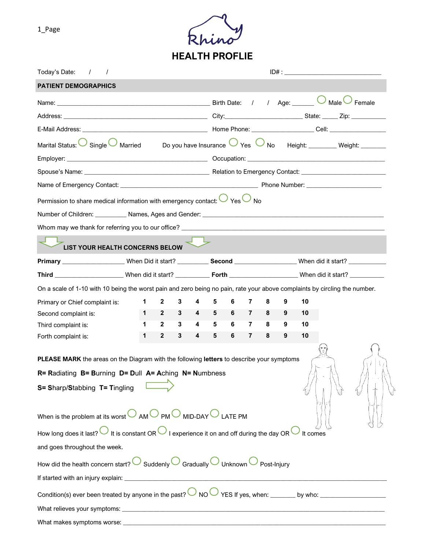

| Today's Date:<br>$\overline{1}$                                                                                                 |             |              |   |                         |                                 |                |                |   |   |    |  |
|---------------------------------------------------------------------------------------------------------------------------------|-------------|--------------|---|-------------------------|---------------------------------|----------------|----------------|---|---|----|--|
| <b>PATIENT DEMOGRAPHICS</b>                                                                                                     |             |              |   |                         |                                 |                |                |   |   |    |  |
|                                                                                                                                 |             |              |   |                         | $\overline{\phantom{a}}$ Female |                |                |   |   |    |  |
|                                                                                                                                 |             |              |   |                         |                                 |                |                |   |   |    |  |
|                                                                                                                                 |             |              |   |                         |                                 |                |                |   |   |    |  |
| Marital Status: Single Married Do you have Insurance $\bigcirc$ Yes $\bigcirc$ No Height: Weight: Weight:                       |             |              |   |                         |                                 |                |                |   |   |    |  |
|                                                                                                                                 |             |              |   |                         |                                 |                |                |   |   |    |  |
|                                                                                                                                 |             |              |   |                         |                                 |                |                |   |   |    |  |
|                                                                                                                                 |             |              |   |                         |                                 |                |                |   |   |    |  |
| Permission to share medical information with emergency contact: $\bigcup$ Yes $\bigcup$ No                                      |             |              |   |                         |                                 |                |                |   |   |    |  |
|                                                                                                                                 |             |              |   |                         |                                 |                |                |   |   |    |  |
|                                                                                                                                 |             |              |   |                         |                                 |                |                |   |   |    |  |
| LIST YOUR HEALTH CONCERNS BELOW                                                                                                 |             |              |   |                         |                                 |                |                |   |   |    |  |
|                                                                                                                                 |             |              |   |                         |                                 |                |                |   |   |    |  |
|                                                                                                                                 |             |              |   |                         |                                 |                |                |   |   |    |  |
| On a scale of 1-10 with 10 being the worst pain and zero being no pain, rate your above complaints by circling the number.      |             |              |   |                         |                                 |                |                |   |   |    |  |
| Primary or Chief complaint is:                                                                                                  | $\mathbf 1$ | $\mathbf{2}$ | 3 | 4                       | 5                               | 6              | 7              | 8 | 9 | 10 |  |
| Second complaint is:                                                                                                            | $1 \quad$   | $2^{\circ}$  |   | $3 \qquad 4 \qquad 5$   |                                 | 6 <sub>7</sub> |                |   | 9 | 10 |  |
| Third complaint is:                                                                                                             | 1.          | $2^{\circ}$  | 3 | $\overline{\mathbf{4}}$ | 5                               | $6 -$          | $\mathbf{7}$   | 8 | 9 | 10 |  |
| Forth complaint is:                                                                                                             | 1           | $\mathbf{2}$ | 3 | 4                       | 5                               | 6              | $\overline{7}$ | 8 | 9 | 10 |  |
| PLEASE MARK the areas on the Diagram with the following letters to describe your symptoms                                       |             |              |   |                         |                                 |                |                |   |   |    |  |
| R= Radiating B= Burning D= Dull A= Aching N= Numbness                                                                           |             |              |   |                         |                                 |                |                |   |   |    |  |
| S= Sharp/Stabbing T= Tingling                                                                                                   |             |              |   |                         |                                 |                |                |   |   |    |  |
|                                                                                                                                 |             |              |   |                         |                                 |                |                |   |   |    |  |
| When is the problem at its worst $\bigcirc$ AM $\bigcirc$ PM $\bigcirc$ MID-DAY $\bigcirc$ LATE PM                              |             |              |   |                         |                                 |                |                |   |   |    |  |
| How long does it last? $\bigcirc$ It is constant OR $\bigcirc$ I experience it on and off during the day OR $\bigcirc$ It comes |             |              |   |                         |                                 |                |                |   |   |    |  |
| and goes throughout the week.                                                                                                   |             |              |   |                         |                                 |                |                |   |   |    |  |
| How did the health concern start? $\bigcirc$ Suddenly $\bigcirc$ Gradually $\bigcirc$ Unknown $\bigcirc$ Post-Injury            |             |              |   |                         |                                 |                |                |   |   |    |  |
|                                                                                                                                 |             |              |   |                         |                                 |                |                |   |   |    |  |
|                                                                                                                                 |             |              |   |                         |                                 |                |                |   |   |    |  |
|                                                                                                                                 |             |              |   |                         |                                 |                |                |   |   |    |  |
| What makes symptoms worse:                                                                                                      |             |              |   |                         |                                 |                |                |   |   |    |  |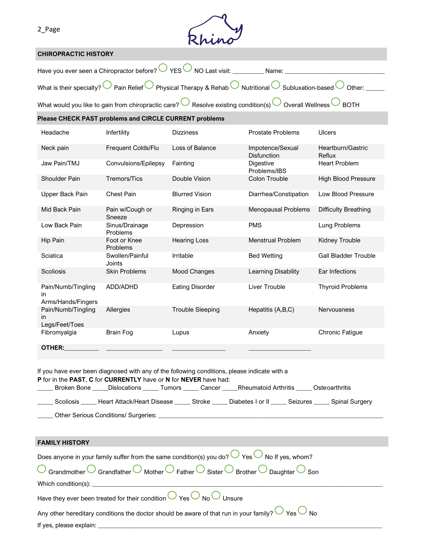

#### **CHIROPRACTIC HISTORY**

| Have you ever seen a Chiropractor before? $\bigcirc$ YES $\bigcirc$ NO Last visit:<br>Name:                                                                    |
|----------------------------------------------------------------------------------------------------------------------------------------------------------------|
| What is their specialty? $\bigcirc$ Pain Relief $\bigcirc$ Physical Therapy & Rehab $\bigcirc$ Nutritional $\bigcirc$ Subluxation-based $\bigcirc$ Other: ____ |
| What would you like to gain from chiropractic care? C Resolve existing condition(s) O Overall Wellness C BOTH                                                  |

#### **Please CHECK PAST problems and CIRCLE CURRENT problems**

| Headache                                        | Infertility                | <b>Dizziness</b>        | <b>Prostate Problems</b>         | Ulcers                      |
|-------------------------------------------------|----------------------------|-------------------------|----------------------------------|-----------------------------|
| Neck pain                                       | Frequent Colds/Flu         | Loss of Balance         | Impotence/Sexual<br>Disfunction  | Heartburn/Gastric<br>Reflux |
| Jaw Pain/TMJ                                    | Convulsions/Epilepsy       | Fainting                | <b>Digestive</b><br>Problems/IBS | <b>Heart Problem</b>        |
| Shoulder Pain                                   | <b>Tremors/Tics</b>        | Double Vision           | Colon Trouble                    | <b>High Blood Pressure</b>  |
| Upper Back Pain                                 | <b>Chest Pain</b>          | <b>Blurred Vision</b>   | Diarrhea/Constipation            | Low Blood Pressure          |
| Mid Back Pain                                   | Pain w/Cough or<br>Sneeze  | Ringing in Ears         | <b>Menopausal Problems</b>       | Difficulty Breathing        |
| Low Back Pain                                   | Sinus/Drainage<br>Problems | Depression              | <b>PMS</b>                       | Lung Problems               |
| Hip Pain                                        | Foot or Knee<br>Problems   | <b>Hearing Loss</b>     | <b>Menstrual Problem</b>         | Kidney Trouble              |
| Sciatica                                        | Swollen/Painful<br>Joints  | Irritable               | <b>Bed Wetting</b>               | <b>Gall Bladder Trouble</b> |
| Scoliosis                                       | <b>Skin Problems</b>       | <b>Mood Changes</b>     | Learning Disability              | Ear Infections              |
| Pain/Numb/Tingling<br>in.<br>Arms/Hands/Fingers | ADD/ADHD                   | <b>Eating Disorder</b>  | Liver Trouble                    | <b>Thyroid Problems</b>     |
| Pain/Numb/Tingling<br>in.<br>Legs/Feet/Toes     | Allergies                  | <b>Trouble Sleeping</b> | Hepatitis (A,B,C)                | Nervousness                 |
| Fibromyalgia                                    | <b>Brain Fog</b>           | Lupus                   | Anxiety                          | <b>Chronic Fatigue</b>      |
| OTHER:                                          |                            |                         |                                  |                             |

If you have ever been diagnosed with any of the following conditions, please indicate with a **P** for in the **PAST**, **C** for **CURRENTLY** have or **N** for **NEVER** have had: Lettarian Bone Lattistications Lattitum Tumors Lattican Cancer Lattic Arthritis Lattican Disteoarthritis Latti \_\_\_\_\_ Scoliosis \_\_\_\_\_ Heart Attack/Heart Disease \_\_\_\_\_ Stroke \_\_\_\_\_ Diabetes I or II \_\_\_\_\_ Seizures \_\_\_\_\_ Spinal Surgery \_\_\_\_\_ Other Serious Conditions/ Surgeries: \_\_\_\_\_\_\_\_\_\_\_\_\_\_\_\_\_\_\_\_\_\_\_\_\_\_\_\_\_\_\_\_\_\_\_\_\_\_\_\_\_\_\_\_\_\_\_\_\_\_\_\_\_\_\_\_\_\_\_\_\_\_\_\_\_\_\_\_\_\_\_\_

| <b>FAMILY HISTORY</b>                                                                                                                                               |
|---------------------------------------------------------------------------------------------------------------------------------------------------------------------|
| Does anyone in your family suffer from the same condition(s) you do? $\bigcirc$ Yes $\bigcirc$ No If yes, whom?                                                     |
| $\overline{O}$ Grandmother $\overline{O}$ Grandfather $\overline{O}$ Mother $\overline{O}$ Father $\overline{O}$ Brother $\overline{O}$ Daughter $\overline{O}$ Son |
| Which condition(s): $\qquad \qquad$                                                                                                                                 |
| Have they ever been treated for their condition $\bigcirc$ Yes $\bigcirc$ No $\bigcirc$ Unsure                                                                      |
| Any other hereditary conditions the doctor should be aware of that run in your family? $\bigcup$ Yes $\bigcirc$ No                                                  |
| If yes, please explain:                                                                                                                                             |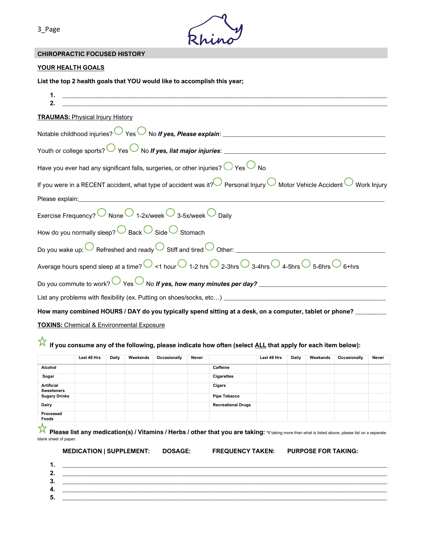

## **CHIROPRACTIC FOCUSED HISTORY**

#### **YOUR HEALTH GOALS**

**List the top 2 health goals that YOU would like to accomplish this year;**

| <u> Alexandro de la contrada de la contrada de la contrada de la contrada de la contrada de la contrada de la co</u>                                                |
|---------------------------------------------------------------------------------------------------------------------------------------------------------------------|
| <b>TRAUMAS:</b> Physical Injury History                                                                                                                             |
|                                                                                                                                                                     |
|                                                                                                                                                                     |
| Have you ever had any significant falls, surgeries, or other injuries? $\bigcirc$ Yes $\bigcirc$ No                                                                 |
| If you were in a RECENT accident, what type of accident was it? Personal Injury $\bigcirc$ Motor Vehicle Accident $\bigcirc$ Work Injury                            |
| Please explain:                                                                                                                                                     |
| Exercise Frequency? $\bigcirc$ None $\bigcirc$ 1-2x/week $\bigcirc$ 3-5x/week $\bigcirc$ Daily                                                                      |
| How do you normally sleep? $\bigcirc$ Back $\bigcirc$ Side $\bigcirc$ Stomach                                                                                       |
| Do you wake up: $\bigcirc$ Refreshed and ready $\bigcirc$ Stiff and tired $\bigcirc$ Other:                                                                         |
| Average hours spend sleep at a time? $\bigcirc$ <1 hour $\bigcirc$ 1-2 hrs $\bigcirc$ 2-3hrs $\bigcirc$ 3-4hrs $\bigcirc$ 4-5hrs $\bigcirc$ 5-6hrs $\bigcirc$ 6+hrs |
| Do you commute to work? $\bigcirc$ Yes $\bigcirc$ No If yes, how many minutes per day?                                                                              |
|                                                                                                                                                                     |
| How many combined HOURS / DAY do you typically spend sitting at a desk, on a computer, tablet or phone? ______                                                      |
| <b>TOXINS:</b> Chemical & Environmental Exposure                                                                                                                    |

# If you consume any of the following, please indicate how often (select <u>ALL</u> that apply for each item below):

| Last 48 Hrs | Daily | Weekends | Occasionally | Never |                           | Last 48 Hrs | <b>Daily</b> | Weekends | Occasionally | Never |
|-------------|-------|----------|--------------|-------|---------------------------|-------------|--------------|----------|--------------|-------|
|             |       |          |              |       | Caffeine                  |             |              |          |              |       |
|             |       |          |              |       | <b>Cigarettes</b>         |             |              |          |              |       |
|             |       |          |              |       | Cigars                    |             |              |          |              |       |
|             |       |          |              |       | <b>Pipe Tobacco</b>       |             |              |          |              |       |
|             |       |          |              |       | <b>Recreational Drugs</b> |             |              |          |              |       |
|             |       |          |              |       |                           |             |              |          |              |       |
|             |       |          |              |       |                           |             |              |          |              |       |

**Please list any medication(s) / Vitamins / Herbs / other that you are taking:** \*If taking more than what is listed above, please list on a separate blank sheet of paper.

|  | <b>MEDICATION   SUPPLEMENT:</b> | DC |
|--|---------------------------------|----|
|--|---------------------------------|----|

**MEDICATION IS A SUPPOSE FOR TAKING: PURPOSE FOR TAKING:** 

| <u></u> |  |
|---------|--|
| J.      |  |
| 4.      |  |
| ∽       |  |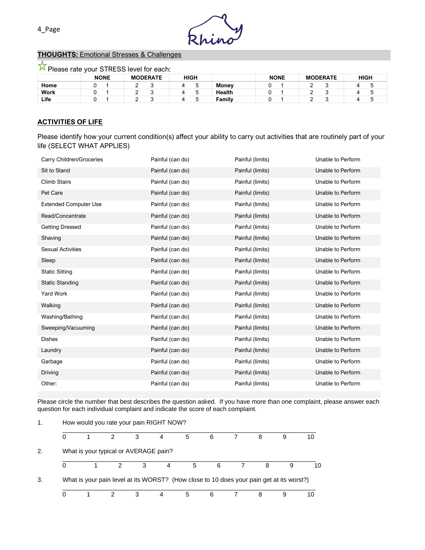

## **THOUGHTS:** Emotional Stresses & Challenges

 $\overline{\mathcal{N}}$  Please rate your STRESS level for each:

|      | <b>NONE</b> | <b>MODERATE</b> | <b>HIGH</b> |              | <b>NONE</b> | <b>MODERATE</b> | <b>HIGH</b> |
|------|-------------|-----------------|-------------|--------------|-------------|-----------------|-------------|
| Home |             | ∼<br>-          | ∽           | <b>Money</b> |             | -               |             |
| Work |             | ∼               |             | Health       |             |                 |             |
| Life |             | s.              |             | Family       |             |                 |             |

## **ACTIVITIES OF LIFE**

Please identify how your current condition(s) affect your ability to carry out activities that are routinely part of your life (SELECT WHAT APPLIES)

| Carry Children/Groceries     | Painful (can do) | Painful (limits) | Unable to Perform |
|------------------------------|------------------|------------------|-------------------|
| Sit to Stand                 | Painful (can do) | Painful (limits) | Unable to Perform |
| <b>Climb Stairs</b>          | Painful (can do) | Painful (limits) | Unable to Perform |
| Pet Care                     | Painful (can do) | Painful (limits) | Unable to Perform |
| <b>Extended Computer Use</b> | Painful (can do) | Painful (limits) | Unable to Perform |
| Read/Concentrate             | Painful (can do) | Painful (limits) | Unable to Perform |
| <b>Getting Dressed</b>       | Painful (can do) | Painful (limits) | Unable to Perform |
| Shaving                      | Painful (can do) | Painful (limits) | Unable to Perform |
| <b>Sexual Activities</b>     | Painful (can do) | Painful (limits) | Unable to Perform |
| Sleep                        | Painful (can do) | Painful (limits) | Unable to Perform |
| <b>Static Sitting</b>        | Painful (can do) | Painful (limits) | Unable to Perform |
| <b>Static Standing</b>       | Painful (can do) | Painful (limits) | Unable to Perform |
| Yard Work                    | Painful (can do) | Painful (limits) | Unable to Perform |
| Walking                      | Painful (can do) | Painful (limits) | Unable to Perform |
| Washing/Bathing              | Painful (can do) | Painful (limits) | Unable to Perform |
| Sweeping/Vacuuming           | Painful (can do) | Painful (limits) | Unable to Perform |
| <b>Dishes</b>                | Painful (can do) | Painful (limits) | Unable to Perform |
| Laundry                      | Painful (can do) | Painful (limits) | Unable to Perform |
| Garbage                      | Painful (can do) | Painful (limits) | Unable to Perform |
| Driving                      | Painful (can do) | Painful (limits) | Unable to Perform |
| Other:                       | Painful (can do) | Painful (limits) | Unable to Perform |

Please circle the number that best describes the question asked. If you have more than one complaint, please answer each question for each individual complaint and indicate the score of each complaint.

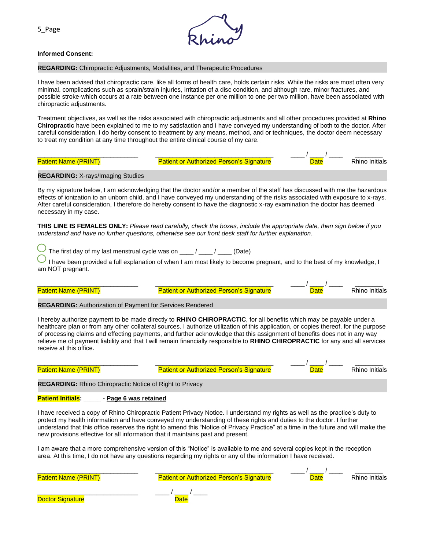

#### **Informed Consent:**

#### **REGARDING:** Chiropractic Adjustments, Modalities, and Therapeutic Procedures

I have been advised that chiropractic care, like all forms of health care, holds certain risks. While the risks are most often very minimal, complications such as sprain/strain injuries, irritation of a disc condition, and although rare, minor fractures, and possible stroke-which occurs at a rate between one instance per one million to one per two million, have been associated with chiropractic adjustments.

Treatment objectives, as well as the risks associated with chiropractic adjustments and all other procedures provided at **Rhino Chiropractic** have been explained to me to my satisfaction and I have conveyed my understanding of both to the doctor. After careful consideration, I do herby consent to treatment by any means, method, and or techniques, the doctor deem necessary to treat my condition at any time throughout the entire clinical course of my care.

| <b>Patient Name (PRINT)</b>                                      | <b>Patient or Authorized Person's Signature</b>                                                                                                                                                                                                                                                                                                                                                                                                                                                                            |                                                   | $-$ Rhino Initials                                                 |
|------------------------------------------------------------------|----------------------------------------------------------------------------------------------------------------------------------------------------------------------------------------------------------------------------------------------------------------------------------------------------------------------------------------------------------------------------------------------------------------------------------------------------------------------------------------------------------------------------|---------------------------------------------------|--------------------------------------------------------------------|
| <b>REGARDING: X-rays/Imaging Studies</b>                         |                                                                                                                                                                                                                                                                                                                                                                                                                                                                                                                            |                                                   |                                                                    |
| necessary in my case.                                            | By my signature below, I am acknowledging that the doctor and/or a member of the staff has discussed with me the hazardous<br>effects of ionization to an unborn child, and I have conveyed my understanding of the risks associated with exposure to x-rays.<br>After careful consideration, I therefore do hereby consent to have the diagnostic x-ray examination the doctor has deemed                                                                                                                                 |                                                   |                                                                    |
|                                                                  | THIS LINE IS FEMALES ONLY: Please read carefully, check the boxes, include the appropriate date, then sign below if you<br>understand and have no further questions, otherwise see our front desk staff for further explanation.                                                                                                                                                                                                                                                                                           |                                                   |                                                                    |
|                                                                  | The first day of my last menstrual cycle was on $\frac{1}{\sqrt{2\pi}}$ / ___ (Date)                                                                                                                                                                                                                                                                                                                                                                                                                                       |                                                   |                                                                    |
| am NOT pregnant.                                                 | I have been provided a full explanation of when I am most likely to become pregnant, and to the best of my knowledge, I                                                                                                                                                                                                                                                                                                                                                                                                    |                                                   |                                                                    |
| <b>Patient Name (PRINT)</b>                                      | <b>Patient or Authorized Person's Signature</b>                                                                                                                                                                                                                                                                                                                                                                                                                                                                            |                                                   | ___ / ____ / _____  __________<br><mark>Date</mark> Rhino Initials |
| <b>REGARDING: Authorization of Payment for Services Rendered</b> |                                                                                                                                                                                                                                                                                                                                                                                                                                                                                                                            |                                                   |                                                                    |
| receive at this office.                                          | I hereby authorize payment to be made directly to RHINO CHIROPRACTIC, for all benefits which may be payable under a<br>healthcare plan or from any other collateral sources. I authorize utilization of this application, or copies thereof, for the purpose<br>of processing claims and effecting payments, and further acknowledge that this assignment of benefits does not in any way<br>relieve me of payment liability and that I will remain financially responsible to RHINO CHIROPRACTIC for any and all services |                                                   |                                                                    |
| <b>Patient Name (PRINT)</b>                                      | <b>Patient or Authorized Person's Signature</b>                                                                                                                                                                                                                                                                                                                                                                                                                                                                            | _____/ ____ / ______ __________<br>Rhino Initials |                                                                    |
| <b>REGARDING:</b> Rhino Chiropractic Notice of Right to Privacy  |                                                                                                                                                                                                                                                                                                                                                                                                                                                                                                                            |                                                   |                                                                    |
| Patient Initials: ______ - Page 6 was retained                   |                                                                                                                                                                                                                                                                                                                                                                                                                                                                                                                            |                                                   |                                                                    |
|                                                                  | I have received a copy of Rhino Chiropractic Patient Privacy Notice. I understand my rights as well as the practice's duty to<br>protect my health information and have conveyed my understanding of these rights and duties to the doctor. I further<br>understand that this office reserves the right to amend this "Notice of Privacy Practice" at a time in the future and will make the<br>new provisions effective for all information that it maintains past and present.                                           |                                                   |                                                                    |
|                                                                  | I am aware that a more comprehensive version of this "Notice" is available to me and several copies kept in the reception<br>area. At this time, I do not have any questions regarding my rights or any of the information I have received.                                                                                                                                                                                                                                                                                |                                                   |                                                                    |

| <b>Patient Name (PRINT)</b> | <b>Patient or Authorized Person's Signature</b> | Date | <b>Rhino Initials</b> |
|-----------------------------|-------------------------------------------------|------|-----------------------|
| <b>Doctor Signature</b>     | <b>Date</b>                                     |      |                       |